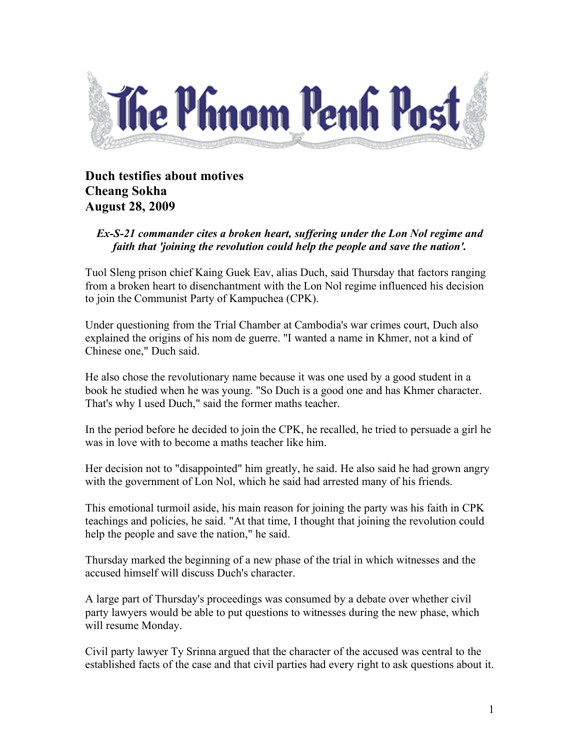

**Duch testifies about motives Cheang Sokha August 28, 2009**

## *Ex-S-21 commander cites a broken heart, suffering under the Lon Nol regime and faith that 'joining the revolution could help the people and save the nation'.*

Tuol Sleng prison chief Kaing Guek Eav, alias Duch, said Thursday that factors ranging from a broken heart to disenchantment with the Lon Nol regime influenced his decision to join the Communist Party of Kampuchea (CPK).

Under questioning from the Trial Chamber at Cambodia's war crimes court, Duch also explained the origins of his nom de guerre. "I wanted a name in Khmer, not a kind of Chinese one," Duch said.

He also chose the revolutionary name because it was one used by a good student in a book he studied when he was young. "So Duch is a good one and has Khmer character. That's why I used Duch," said the former maths teacher.

In the period before he decided to join the CPK, he recalled, he tried to persuade a girl he was in love with to become a maths teacher like him.

Her decision not to "disappointed" him greatly, he said. He also said he had grown angry with the government of Lon Nol, which he said had arrested many of his friends.

This emotional turmoil aside, his main reason for joining the party was his faith in CPK teachings and policies, he said. "At that time, I thought that joining the revolution could help the people and save the nation," he said.

Thursday marked the beginning of a new phase of the trial in which witnesses and the accused himself will discuss Duch's character.

A large part of Thursday's proceedings was consumed by a debate over whether civil party lawyers would be able to put questions to witnesses during the new phase, which will resume Monday.

Civil party lawyer Ty Srinna argued that the character of the accused was central to the established facts of the case and that civil parties had every right to ask questions about it.